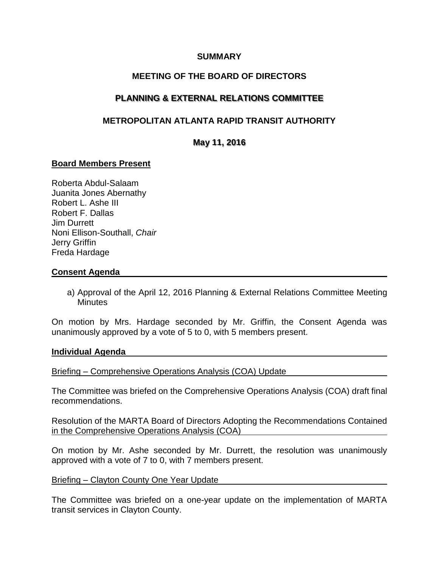## **SUMMARY**

# **MEETING OF THE BOARD OF DIRECTORS**

# **PLANNING & EXTERNAL RELATIONS COMMITTEE**

# **METROPOLITAN ATLANTA RAPID TRANSIT AUTHORITY**

## **May 11, 2016**

### **Board Members Present**

Roberta Abdul-Salaam Juanita Jones Abernathy Robert L. Ashe III Robert F. Dallas Jim Durrett Noni Ellison-Southall, *Chair*  Jerry Griffin Freda Hardage

### **Consent Agenda**

a) Approval of the April 12, 2016 Planning & External Relations Committee Meeting **Minutes** 

On motion by Mrs. Hardage seconded by Mr. Griffin, the Consent Agenda was unanimously approved by a vote of 5 to 0, with 5 members present.

### **Individual Agenda**

Briefing – Comprehensive Operations Analysis (COA) Update

The Committee was briefed on the Comprehensive Operations Analysis (COA) draft final recommendations.

Resolution of the MARTA Board of Directors Adopting the Recommendations Contained in the Comprehensive Operations Analysis (COA)

On motion by Mr. Ashe seconded by Mr. Durrett, the resolution was unanimously approved with a vote of 7 to 0, with 7 members present.

### Briefing – Clayton County One Year Update

The Committee was briefed on a one-year update on the implementation of MARTA transit services in Clayton County.